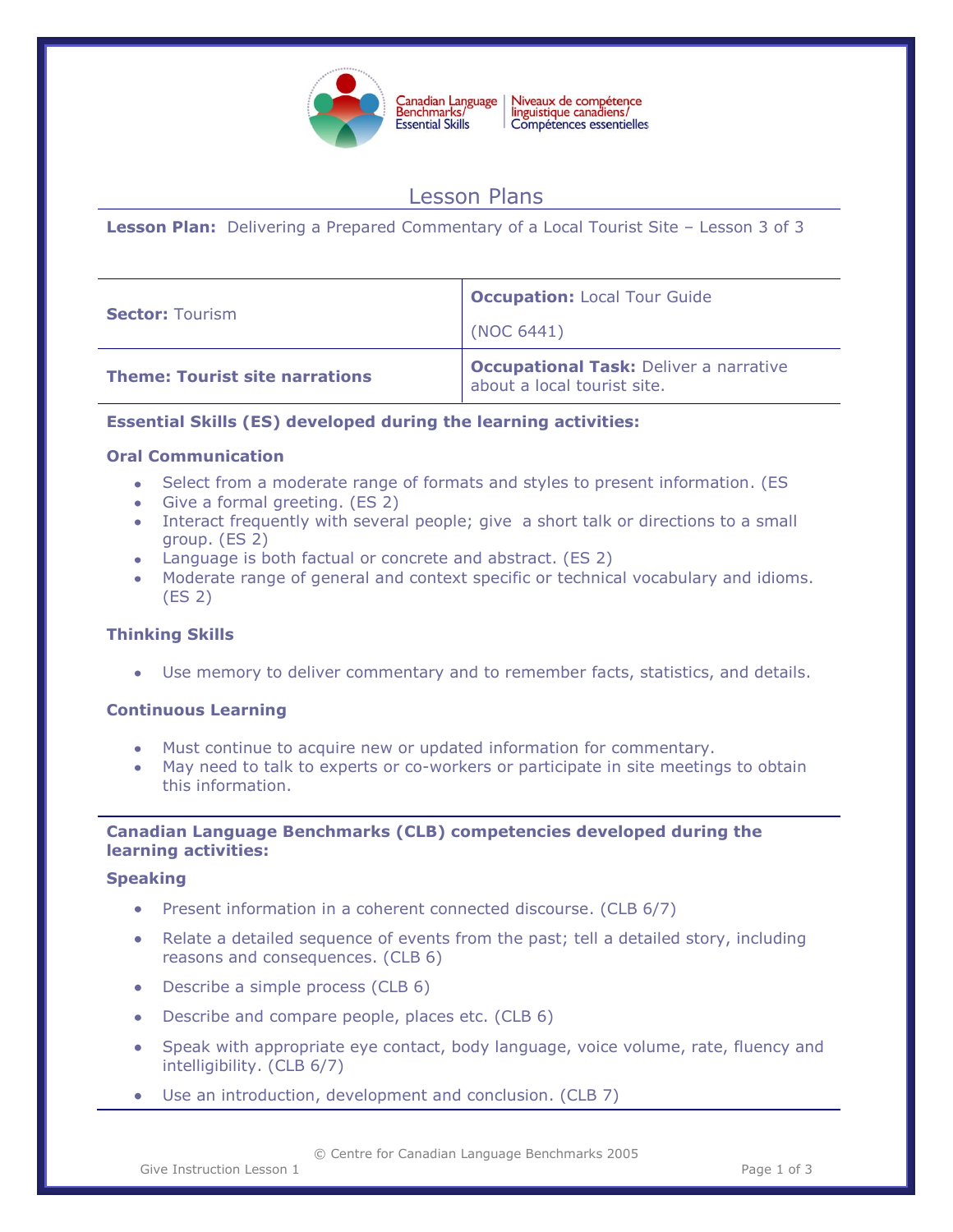

## Niveaux de compétence<br>linguistique canadiens/ Compétences essentielles

# Lesson Plans

**Lesson Plan:** Delivering a Prepared Commentary of a Local Tourist Site – Lesson 3 of 3

| <b>Sector: Tourism</b>                | <b>Occupation: Local Tour Guide</b>                                          |
|---------------------------------------|------------------------------------------------------------------------------|
|                                       | (NOC 6441)                                                                   |
| <b>Theme: Tourist site narrations</b> | <b>Occupational Task: Deliver a narrative</b><br>about a local tourist site. |

## **Essential Skills (ES) developed during the learning activities:**

## **Oral Communication**

- Select from a moderate range of formats and styles to present information. (ES
- Give a formal greeting. (ES 2)
- Interact frequently with several people; give a short talk or directions to a small group. (ES 2)
- Language is both factual or concrete and abstract. (ES 2)
- Moderate range of general and context specific or technical vocabulary and idioms. (ES 2)

## **Thinking Skills**

Use memory to deliver commentary and to remember facts, statistics, and details.

## **Continuous Learning**

- Must continue to acquire new or updated information for commentary.
- May need to talk to experts or co-workers or participate in site meetings to obtain this information.

## **Canadian Language Benchmarks (CLB) competencies developed during the learning activities:**

#### **Speaking**

- Present information in a coherent connected discourse. (CLB 6/7)
- Relate a detailed sequence of events from the past; tell a detailed story, including reasons and consequences. (CLB 6)
- Describe a simple process (CLB 6)
- Describe and compare people, places etc. (CLB 6)
- Speak with appropriate eye contact, body language, voice volume, rate, fluency and intelligibility. (CLB 6/7)
- Use an introduction, development and conclusion. (CLB 7)

© Centre for Canadian Language Benchmarks 2005

Give Instruction Lesson 1 and 1 and 1 and 1 and 1 and 1 and 1 and 1 and 1 and 1 and 1 and 1 and 1 and 1 and 1 and 1 and 1 and 1 and 1 and 1 and 1 and 1 and 1 and 1 and 1 and 1 and 1 and 1 and 1 and 1 and 1 and 1 and 1 and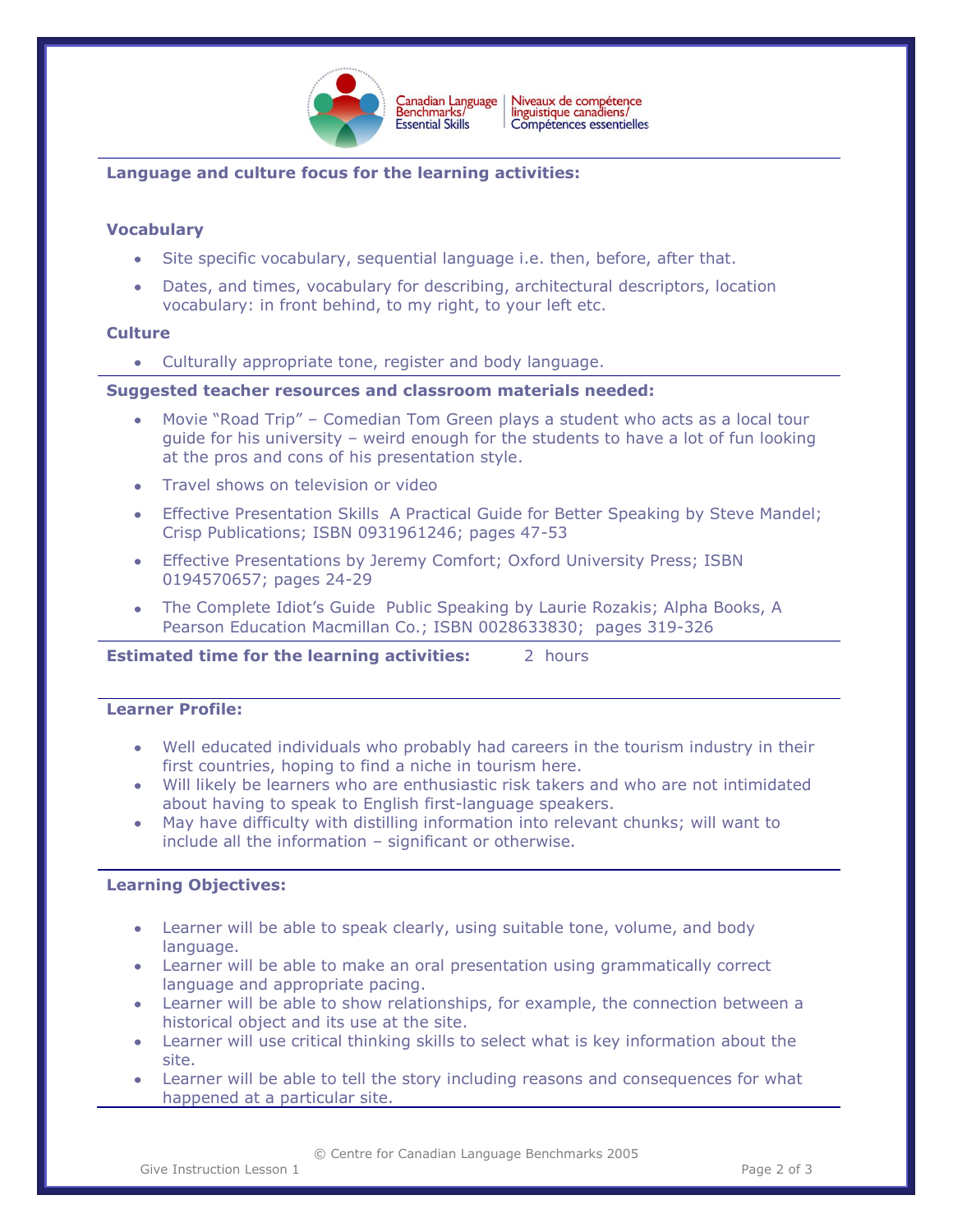

Niveaux de compétence<br>linguistique canadiens/ Canadian Language<br>Benchmarks/ Compétences essentielles

## **Language and culture focus for the learning activities:**

#### **Vocabulary**

- Site specific vocabulary, sequential language i.e. then, before, after that.
- Dates, and times, vocabulary for describing, architectural descriptors, location vocabulary: in front behind, to my right, to your left etc.

#### **Culture**

Culturally appropriate tone, register and body language.

#### **Suggested teacher resources and classroom materials needed:**

- Movie "Road Trip" Comedian Tom Green plays a student who acts as a local tour guide for his university – weird enough for the students to have a lot of fun looking at the pros and cons of his presentation style.
- Travel shows on television or video
- Effective Presentation Skills A Practical Guide for Better Speaking by Steve Mandel; Crisp Publications; ISBN 0931961246; pages 47-53
- Effective Presentations by Jeremy Comfort; Oxford University Press; ISBN 0194570657; pages 24-29
- The Complete Idiot's Guide Public Speaking by Laurie Rozakis; Alpha Books, A Pearson Education Macmillan Co.; ISBN 0028633830; pages 319-326

**Estimated time for the learning activities:** 2 hours

#### **Learner Profile:**

- Well educated individuals who probably had careers in the tourism industry in their first countries, hoping to find a niche in tourism here.
- Will likely be learners who are enthusiastic risk takers and who are not intimidated about having to speak to English first-language speakers.
- May have difficulty with distilling information into relevant chunks; will want to  $\bullet$ include all the information – significant or otherwise.

#### **Learning Objectives:**

- Learner will be able to speak clearly, using suitable tone, volume, and body language.
- Learner will be able to make an oral presentation using grammatically correct language and appropriate pacing.
- Learner will be able to show relationships, for example, the connection between a historical object and its use at the site.
- Learner will use critical thinking skills to select what is key information about the site.
- Learner will be able to tell the story including reasons and consequences for what happened at a particular site.